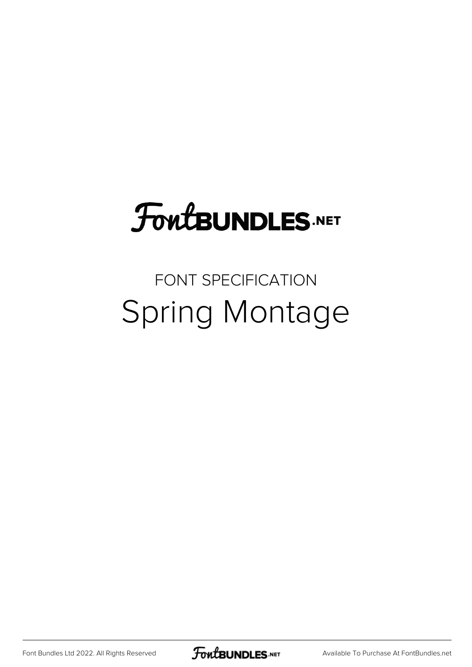# **FoutBUNDLES.NET**

#### FONT SPECIFICATION Spring Montage

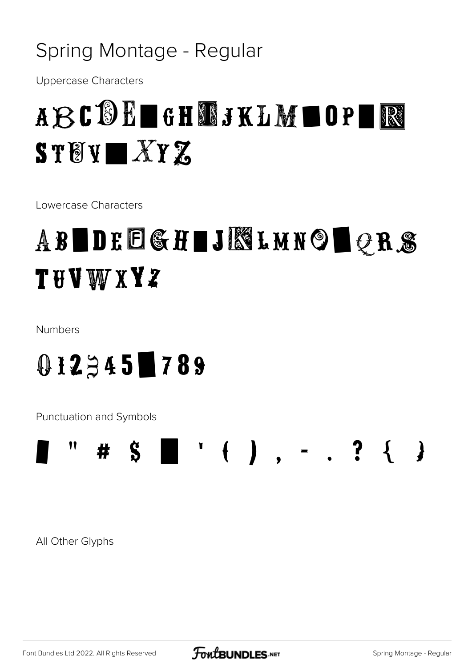#### Spring Montage - Regular

**Uppercase Characters** 

### ABCDE GHTSKLM OP R  $ST(Y \blacksquare XY Z$

Lowercase Characters

## ABIDEEGHIJKLMNOIQRS **THVWXYZ**

Numbers

#### $0.12345$  789

**Punctuation and Symbols** 



All Other Glyphs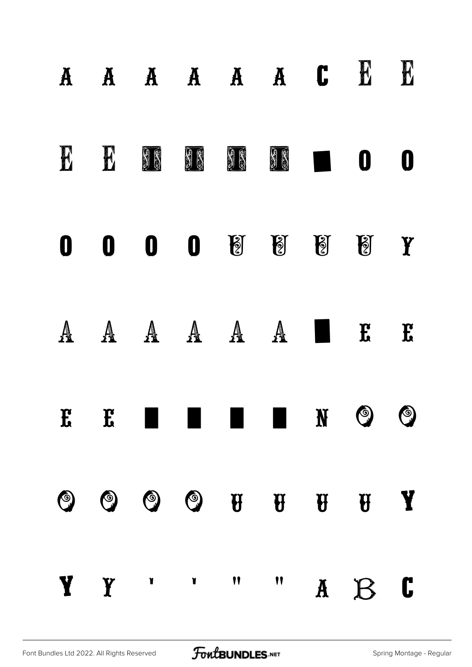